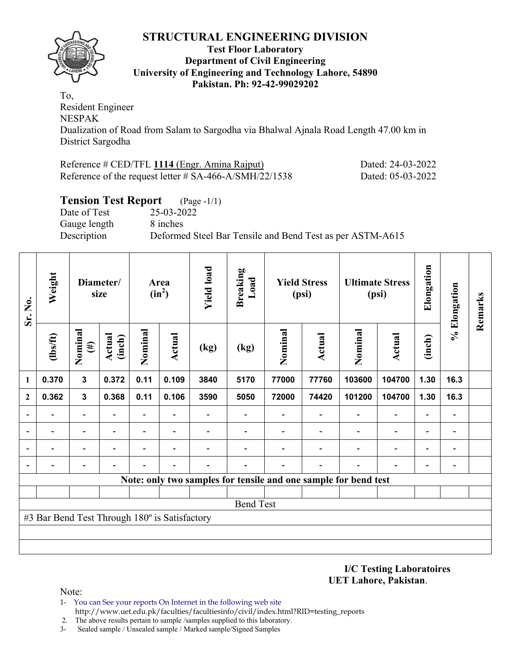

#### **Test Floor Laboratory Department of Civil Engineering University of Engineering and Technology Lahore, 54890 Pakistan. Ph: 92-42-99029202**

To, Resident Engineer NESPAK Dualization of Road from Salam to Sargodha via Bhalwal Ajnala Road Length 47.00 km in District Sargodha

| Reference # CED/TFL 1114 (Engr. Amina Rajput)             | Dated: 24-03-2022 |
|-----------------------------------------------------------|-------------------|
| Reference of the request letter $\#$ SA-466-A/SMH/22/1538 | Dated: 05-03-2022 |

# **Tension Test Report** (Page -1/1)

Date of Test 25-03-2022 Gauge length 8 inches

Description Deformed Steel Bar Tensile and Bend Test as per ASTM-A615

| Sr. No.        | Weight                                        |                          | Diameter/<br>size       |                          | Area<br>$(in^2)$ | <b>Yield load</b>                          | <b>Breaking</b><br>Load                                         |         | <b>Yield Stress</b><br>(psi) |         | <b>Ultimate Stress</b><br>(psi) | Elongation               | % Elongation                 | Remarks |
|----------------|-----------------------------------------------|--------------------------|-------------------------|--------------------------|------------------|--------------------------------------------|-----------------------------------------------------------------|---------|------------------------------|---------|---------------------------------|--------------------------|------------------------------|---------|
|                | $lbsft$                                       | Nominal<br>$(\#)$        | <b>Actual</b><br>(inch) | Nominal                  | Actual           | (kg)                                       | (kg)                                                            | Nominal | <b>Actual</b>                | Nominal | <b>Actual</b>                   | (inch)                   |                              |         |
| 1              | 0.370                                         | $\mathbf{3}$             | 0.372                   | 0.11                     | 0.109            | 3840                                       | 5170                                                            | 77000   | 77760                        | 103600  | 104700                          | 1.30                     | 16.3                         |         |
| $\mathbf{2}$   | 0.362                                         | $\mathbf{3}$             | 0.368                   | 0.11                     | 0.106            | 3590                                       | 5050                                                            | 72000   | 74420                        | 101200  | 104700                          | 1.30                     | 16.3                         |         |
| $\overline{a}$ | $\overline{\phantom{0}}$                      | $\overline{\phantom{0}}$ |                         | ۰                        |                  | $\overline{\phantom{0}}$<br>$\blacksquare$ |                                                                 |         |                              |         |                                 | $\overline{\phantom{0}}$ | $\qquad \qquad \blacksquare$ |         |
|                |                                               | $\overline{\phantom{0}}$ |                         | $\overline{\phantom{0}}$ | ٠                |                                            |                                                                 |         |                              |         | $\overline{\phantom{a}}$        | $\overline{\phantom{0}}$ | $\qquad \qquad$              |         |
|                |                                               |                          |                         |                          |                  |                                            |                                                                 |         |                              |         | $\overline{\phantom{0}}$        | $\overline{\phantom{0}}$ | $\overline{\phantom{a}}$     |         |
| $\overline{a}$ |                                               |                          |                         |                          |                  |                                            |                                                                 |         |                              |         |                                 |                          | $\overline{a}$               |         |
|                |                                               |                          |                         |                          |                  |                                            | Note: only two samples for tensile and one sample for bend test |         |                              |         |                                 |                          |                              |         |
|                |                                               |                          |                         |                          |                  |                                            |                                                                 |         |                              |         |                                 |                          |                              |         |
|                |                                               |                          |                         |                          |                  |                                            | <b>Bend Test</b>                                                |         |                              |         |                                 |                          |                              |         |
|                | #3 Bar Bend Test Through 180° is Satisfactory |                          |                         |                          |                  |                                            |                                                                 |         |                              |         |                                 |                          |                              |         |
|                |                                               |                          |                         |                          |                  |                                            |                                                                 |         |                              |         |                                 |                          |                              |         |
|                |                                               |                          |                         |                          |                  |                                            |                                                                 |         |                              |         |                                 |                          |                              |         |

**I/C Testing Laboratoires UET Lahore, Pakistan**.

- 1- You can See your reports On Internet in the following web site http://www.uet.edu.pk/faculties/facultiesinfo/civil/index.html?RID=testing\_reports
- 2. The above results pertain to sample /samples supplied to this laboratory.
- 3- Sealed sample / Unsealed sample / Marked sample/Signed Samples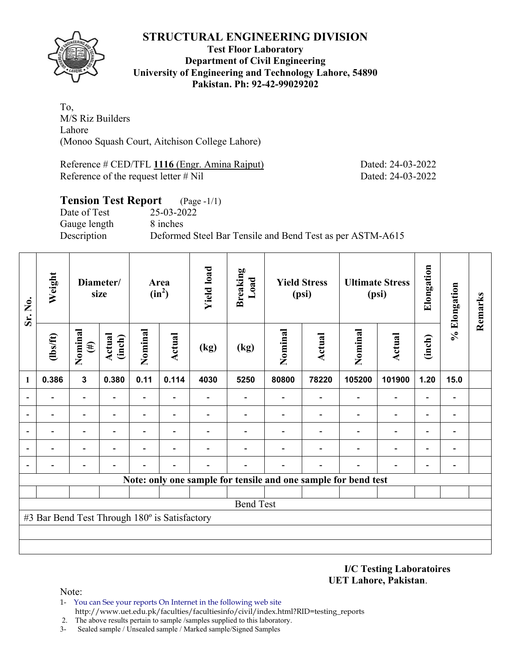

**Test Floor Laboratory Department of Civil Engineering University of Engineering and Technology Lahore, 54890 Pakistan. Ph: 92-42-99029202** 

To, M/S Riz Builders Lahore (Monoo Squash Court, Aitchison College Lahore)

Reference # CED/TFL **1116** (Engr. Amina Rajput) Dated: 24-03-2022 Reference of the request letter # Nil Dated: 24-03-2022

# **Tension Test Report** (Page -1/1) Date of Test 25-03-2022 Gauge length 8 inches Description Deformed Steel Bar Tensile and Bend Test as per ASTM-A615

| Weight<br>Sr. No. |                                               |                   | Diameter/<br>size       |                | Area<br>$(in^2)$ | <b>Yield load</b> | <b>Breaking</b><br>Load                                        |         | <b>Yield Stress</b><br>(psi) |         | <b>Ultimate Stress</b><br>(psi) | Elongation               | % Elongation | Remarks |
|-------------------|-----------------------------------------------|-------------------|-------------------------|----------------|------------------|-------------------|----------------------------------------------------------------|---------|------------------------------|---------|---------------------------------|--------------------------|--------------|---------|
|                   | (lbs/ft)                                      | Nominal<br>$(\#)$ | <b>Actual</b><br>(inch) | Nominal        | Actual           | (kg)              | (kg)                                                           | Nominal | <b>Actual</b>                | Nominal | Actual                          | (inch)                   |              |         |
| 1                 | 0.386                                         | $\overline{3}$    | 0.380                   | 0.11           | 0.114            | 4030              | 5250                                                           | 80800   | 78220                        | 105200  | 101900                          | 1.20                     | 15.0         |         |
|                   |                                               |                   |                         |                |                  |                   |                                                                |         |                              |         | $\overline{\phantom{0}}$        | $\overline{a}$           |              |         |
|                   |                                               |                   |                         |                |                  |                   |                                                                |         |                              |         | $\overline{\phantom{0}}$        | $\overline{\phantom{0}}$ |              |         |
|                   |                                               | $\blacksquare$    |                         | $\blacksquare$ |                  |                   |                                                                |         |                              |         | $\overline{\phantom{0}}$        | $\overline{\phantom{0}}$ |              |         |
|                   |                                               |                   |                         | -              | ٠                |                   |                                                                |         |                              |         | $\overline{\phantom{0}}$        | $\overline{\phantom{0}}$ |              |         |
|                   |                                               |                   |                         |                |                  |                   |                                                                |         |                              |         |                                 | -                        |              |         |
|                   |                                               |                   |                         |                |                  |                   | Note: only one sample for tensile and one sample for bend test |         |                              |         |                                 |                          |              |         |
|                   |                                               |                   |                         |                |                  |                   |                                                                |         |                              |         |                                 |                          |              |         |
|                   |                                               |                   |                         |                |                  |                   | <b>Bend Test</b>                                               |         |                              |         |                                 |                          |              |         |
|                   | #3 Bar Bend Test Through 180° is Satisfactory |                   |                         |                |                  |                   |                                                                |         |                              |         |                                 |                          |              |         |
|                   |                                               |                   |                         |                |                  |                   |                                                                |         |                              |         |                                 |                          |              |         |
|                   |                                               |                   |                         |                |                  |                   |                                                                |         |                              |         |                                 |                          |              |         |

**I/C Testing Laboratoires UET Lahore, Pakistan**.

- 1- You can See your reports On Internet in the following web site http://www.uet.edu.pk/faculties/facultiesinfo/civil/index.html?RID=testing\_reports
- 2. The above results pertain to sample /samples supplied to this laboratory.
- 3- Sealed sample / Unsealed sample / Marked sample/Signed Samples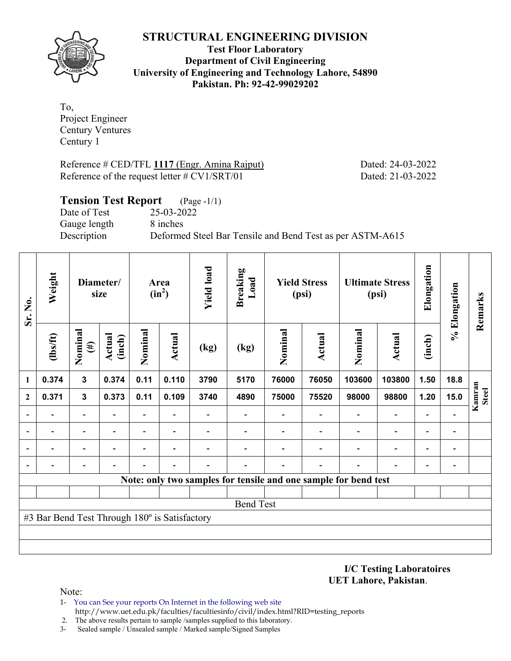

**Test Floor Laboratory Department of Civil Engineering University of Engineering and Technology Lahore, 54890 Pakistan. Ph: 92-42-99029202** 

To, Project Engineer Century Ventures Century 1

Reference # CED/TFL 1117 (Engr. Amina Rajput) Dated: 24-03-2022 Reference of the request letter # CV1/SRT/01 Dated: 21-03-2022

| <b>Tension Test Report</b> (Page -1/1) |                                                           |
|----------------------------------------|-----------------------------------------------------------|
| Date of Test                           | 25-03-2022                                                |
| Gauge length                           | 8 inches                                                  |
| Description                            | Deformed Steel Bar Tensile and Bend Test as per ASTM-A615 |

| Sr. No.                  | Weight                                        |                   | Diameter/<br>size       |                          | Area<br>$(in^2)$ | <b>Yield load</b> | <b>Breaking</b><br>Load                                         |         | <b>Yield Stress</b><br>(psi) |         | <b>Ultimate Stress</b><br>(psi) | Elongation               | % Elongation             | Remarks                |
|--------------------------|-----------------------------------------------|-------------------|-------------------------|--------------------------|------------------|-------------------|-----------------------------------------------------------------|---------|------------------------------|---------|---------------------------------|--------------------------|--------------------------|------------------------|
|                          | (lbs/ft)                                      | Nominal<br>$(\#)$ | <b>Actual</b><br>(inch) | Nominal                  | Actual           | (kg)              | (kg)                                                            | Nominal | Actual                       | Nominal | <b>Actual</b>                   | (inch)                   |                          |                        |
| $\mathbf{1}$             | 0.374                                         | $\mathbf{3}$      | 0.374                   | 0.11                     | 0.110            | 3790              | 5170                                                            | 76000   | 76050                        | 103600  | 103800                          | 1.50                     | 18.8                     |                        |
| $\mathbf{2}$             | 0.371                                         | $\mathbf{3}$      | 0.373                   | 0.11                     | 0.109            | 3740              | 4890                                                            | 75000   | 75520                        | 98000   | 98800                           | 1.20                     | 15.0                     | Kamran<br><b>Steel</b> |
| $\blacksquare$           |                                               |                   |                         | $\overline{\phantom{0}}$ | $\overline{a}$   |                   |                                                                 |         |                              |         | $\overline{\phantom{a}}$        |                          |                          |                        |
| $\overline{\phantom{0}}$ |                                               |                   |                         | $\overline{\phantom{0}}$ |                  |                   |                                                                 |         |                              |         | $\overline{a}$                  | $\overline{\phantom{a}}$ | $\overline{a}$           |                        |
| $\overline{\phantom{0}}$ |                                               |                   |                         |                          |                  |                   |                                                                 |         |                              |         | $\overline{\phantom{0}}$        | $\overline{\phantom{0}}$ | $\overline{\phantom{0}}$ |                        |
|                          |                                               |                   |                         |                          |                  |                   |                                                                 |         |                              |         |                                 | -                        |                          |                        |
|                          |                                               |                   |                         |                          |                  |                   | Note: only two samples for tensile and one sample for bend test |         |                              |         |                                 |                          |                          |                        |
|                          |                                               |                   |                         |                          |                  |                   |                                                                 |         |                              |         |                                 |                          |                          |                        |
|                          |                                               |                   |                         |                          |                  |                   | <b>Bend Test</b>                                                |         |                              |         |                                 |                          |                          |                        |
|                          | #3 Bar Bend Test Through 180° is Satisfactory |                   |                         |                          |                  |                   |                                                                 |         |                              |         |                                 |                          |                          |                        |
|                          |                                               |                   |                         |                          |                  |                   |                                                                 |         |                              |         |                                 |                          |                          |                        |
|                          |                                               |                   |                         |                          |                  |                   |                                                                 |         |                              |         |                                 |                          |                          |                        |

**I/C Testing Laboratoires UET Lahore, Pakistan**.

- 1- You can See your reports On Internet in the following web site http://www.uet.edu.pk/faculties/facultiesinfo/civil/index.html?RID=testing\_reports
- 2. The above results pertain to sample /samples supplied to this laboratory.
- 3- Sealed sample / Unsealed sample / Marked sample/Signed Samples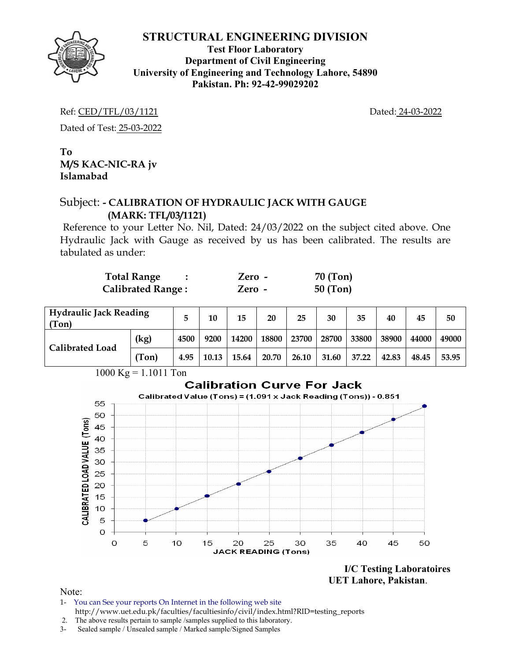

**Test Floor Laboratory Department of Civil Engineering University of Engineering and Technology Lahore, 54890 Pakistan. Ph: 92-42-99029202** 

Ref: CED/TFL/03/1121 Dated: 24-03-2022

Dated of Test: 25-03-2022

**To M/S KAC-NIC-RA jv Islamabad** 

# Subject: **- CALIBRATION OF HYDRAULIC JACK WITH GAUGE (MARK: TFL/03/1121)**

Reference to your Letter No. Nil, Dated: 24/03/2022 on the subject cited above. One Hydraulic Jack with Gauge as received by us has been calibrated. The results are tabulated as under:

| <b>Total Range</b>       | Zero - | 70 (Ton)   |
|--------------------------|--------|------------|
| <b>Calibrated Range:</b> | Zero - | $50$ (Ton) |

| <b>Hydraulic Jack Reading</b><br>(Ton) |       |      | 10    | 15    | 20    | 25    | 30    | 35    | 40    | 45    | 50    |
|----------------------------------------|-------|------|-------|-------|-------|-------|-------|-------|-------|-------|-------|
| <b>Calibrated Load</b>                 | (kg)  | 4500 | 9200  | 14200 | 18800 | 23700 | 28700 | 33800 | 38900 | 44000 | 49000 |
|                                        | (Ton) | 4.95 | 10.13 | 15.64 | 20.70 | 26.10 | 31.60 | 37.22 | 42.83 | 48.45 | 53.95 |

 1000 Kg = 1.1011 Ton **Calibration Curve For Jack** Calibrated Value (Tons) = (1.091 x Jack Reading (Tons)) - 0.851 55 50 CALIBRATED LOAD VALUE (Tons) 45 40 35 30 25 20 15  $10$ 5  $\overline{O}$  $\overline{O}$ 35 5 10 15 20 25 30 40 45 50 **JACK READING (Tons)** 

> **I/C Testing Laboratoires UET Lahore, Pakistan**.

- 1- You can See your reports On Internet in the following web site http://www.uet.edu.pk/faculties/facultiesinfo/civil/index.html?RID=testing\_reports
- 2. The above results pertain to sample /samples supplied to this laboratory.
- 3- Sealed sample / Unsealed sample / Marked sample/Signed Samples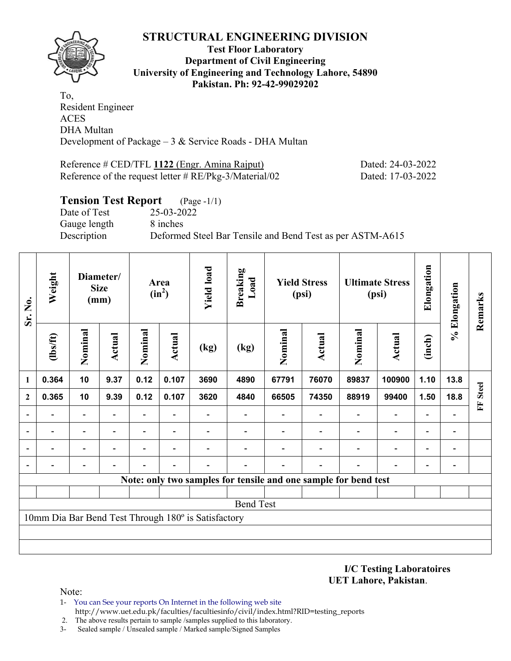

#### **Test Floor Laboratory Department of Civil Engineering University of Engineering and Technology Lahore, 54890 Pakistan. Ph: 92-42-99029202**

To, Resident Engineer ACES DHA Multan Development of Package  $-3 &$  Service Roads - DHA Multan

Reference # CED/TFL **1122** (Engr. Amina Rajput) Dated: 24-03-2022 Reference of the request letter # RE/Pkg-3/Material/02 Dated: 17-03-2022

## **Tension Test Report** (Page -1/1) Date of Test 25-03-2022 Gauge length 8 inches Description Deformed Steel Bar Tensile and Bend Test as per ASTM-A615

| Sr. No.      | Weight<br>Diameter/<br><b>Size</b><br>(mm) |                          |        | Area<br>$(in^2)$         | <b>Yield load</b>            | <b>Breaking</b><br>Load                             |                  | <b>Yield Stress</b><br>(psi) |                                                                 | <b>Ultimate Stress</b><br>(psi) | Elongation                   | % Elongation             | Remarks                      |                   |
|--------------|--------------------------------------------|--------------------------|--------|--------------------------|------------------------------|-----------------------------------------------------|------------------|------------------------------|-----------------------------------------------------------------|---------------------------------|------------------------------|--------------------------|------------------------------|-------------------|
|              | (1bs/ft)                                   | Nominal                  | Actual | Nominal                  | Actual                       | (kg)                                                | (kg)             | Nominal                      | Actual                                                          | Nominal                         | <b>Actual</b>                | (inch)                   |                              |                   |
| 1            | 0.364                                      | 10                       | 9.37   | 0.12                     | 0.107                        | 3690                                                | 4890             | 67791                        | 76070                                                           | 89837                           | 100900                       | 1.10                     | 13.8                         |                   |
| $\mathbf{2}$ | 0.365                                      | 10                       | 9.39   | 0.12                     | 0.107                        | 3620                                                | 4840             | 66505                        | 74350                                                           | 88919                           | 99400                        | 1.50                     | 18.8                         | <b>Steel</b><br>E |
|              |                                            | $\overline{\phantom{0}}$ |        | $\overline{\phantom{0}}$ | $\qquad \qquad \blacksquare$ |                                                     |                  |                              |                                                                 | $\overline{\phantom{0}}$        | $\blacksquare$               | $\overline{\phantom{0}}$ |                              |                   |
|              |                                            | -                        |        | -                        | $\overline{\phantom{a}}$     |                                                     |                  |                              |                                                                 |                                 | $\qquad \qquad \blacksquare$ | $\overline{\phantom{0}}$ | $\qquad \qquad$              |                   |
|              |                                            | $\overline{\phantom{0}}$ |        |                          |                              |                                                     |                  |                              |                                                                 |                                 |                              | $\overline{\phantom{0}}$ | $\overline{a}$               |                   |
|              |                                            |                          |        |                          |                              |                                                     |                  |                              |                                                                 |                                 |                              |                          | $\qquad \qquad \blacksquare$ |                   |
|              |                                            |                          |        |                          |                              |                                                     |                  |                              | Note: only two samples for tensile and one sample for bend test |                                 |                              |                          |                              |                   |
|              |                                            |                          |        |                          |                              |                                                     |                  |                              |                                                                 |                                 |                              |                          |                              |                   |
|              |                                            |                          |        |                          |                              |                                                     | <b>Bend Test</b> |                              |                                                                 |                                 |                              |                          |                              |                   |
|              |                                            |                          |        |                          |                              | 10mm Dia Bar Bend Test Through 180° is Satisfactory |                  |                              |                                                                 |                                 |                              |                          |                              |                   |
|              |                                            |                          |        |                          |                              |                                                     |                  |                              |                                                                 |                                 |                              |                          |                              |                   |
|              |                                            |                          |        |                          |                              |                                                     |                  |                              |                                                                 |                                 |                              |                          |                              |                   |

**I/C Testing Laboratoires UET Lahore, Pakistan**.

- 1- You can See your reports On Internet in the following web site http://www.uet.edu.pk/faculties/facultiesinfo/civil/index.html?RID=testing\_reports
- 2. The above results pertain to sample /samples supplied to this laboratory.
- 3- Sealed sample / Unsealed sample / Marked sample/Signed Samples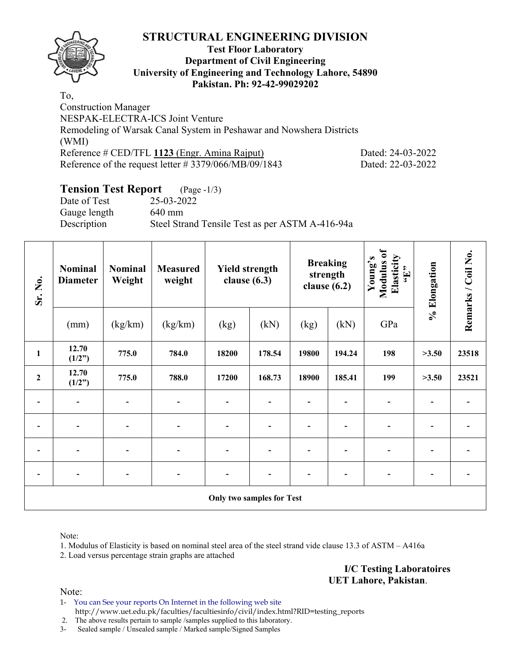

#### **Test Floor Laboratory Department of Civil Engineering University of Engineering and Technology Lahore, 54890 Pakistan. Ph: 92-42-99029202**

To, Construction Manager NESPAK-ELECTRA-ICS Joint Venture Remodeling of Warsak Canal System in Peshawar and Nowshera Districts (WMI) Reference # CED/TFL 1123 (Engr. Amina Rajput) Dated: 24-03-2022 Reference of the request letter # 3379/066/MB/09/1843 Dated: 22-03-2022

# **Tension Test Report** (Page -1/3)

Date of Test 25-03-2022 Gauge length 640 mm Description Steel Strand Tensile Test as per ASTM A-416-94a

| Sr. No.          | <b>Nominal</b><br><b>Diameter</b> | <b>Nominal</b><br><b>Measured</b><br>Weight<br>weight |                          | <b>Yield strength</b><br>clause $(6.3)$ |        |       | <b>Breaking</b><br>strength<br>clause $(6.2)$ | Modulus of<br>Elasticity<br>Young's<br>$\mathbf{f}$ . | % Elongation | Remarks / Coil No. |  |
|------------------|-----------------------------------|-------------------------------------------------------|--------------------------|-----------------------------------------|--------|-------|-----------------------------------------------|-------------------------------------------------------|--------------|--------------------|--|
|                  | (mm)                              | (kg/km)                                               | (kg/km)                  | (kg)                                    | (kN)   | (kg)  | (kN)                                          | GPa                                                   |              |                    |  |
| $\mathbf{1}$     | 12.70<br>(1/2")                   | 775.0                                                 | 784.0                    | 18200                                   | 178.54 | 19800 | 194.24                                        | 198                                                   | >3.50        | 23518              |  |
| $\boldsymbol{2}$ | 12.70<br>(1/2")                   | 775.0                                                 | 788.0                    | 17200                                   | 168.73 | 18900 | 185.41                                        | 199                                                   | >3.50        | 23521              |  |
|                  | $\qquad \qquad \blacksquare$      | $\overline{a}$                                        | $\overline{\phantom{0}}$ | $\qquad \qquad \blacksquare$            |        |       |                                               |                                                       |              |                    |  |
|                  | $\overline{\phantom{a}}$          |                                                       |                          | $\overline{a}$                          |        |       |                                               |                                                       |              |                    |  |
|                  |                                   |                                                       |                          |                                         |        |       |                                               |                                                       |              |                    |  |
| $\overline{a}$   | $\overline{\phantom{a}}$          |                                                       |                          | $\overline{\phantom{a}}$                |        |       |                                               |                                                       |              |                    |  |
|                  | <b>Only two samples for Test</b>  |                                                       |                          |                                         |        |       |                                               |                                                       |              |                    |  |

Note:

1. Modulus of Elasticity is based on nominal steel area of the steel strand vide clause 13.3 of ASTM – A416a

2. Load versus percentage strain graphs are attached

**I/C Testing Laboratoires UET Lahore, Pakistan**.

Note:

1- You can See your reports On Internet in the following web site http://www.uet.edu.pk/faculties/facultiesinfo/civil/index.html?RID=testing\_reports

2. The above results pertain to sample /samples supplied to this laboratory.

3- Sealed sample / Unsealed sample / Marked sample/Signed Samples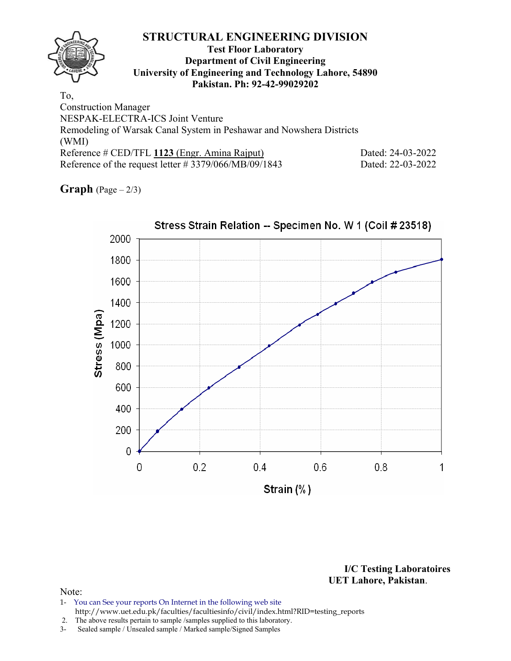## **Test Floor Laboratory Department of Civil Engineering University of Engineering and Technology Lahore, 54890 Pakistan. Ph: 92-42-99029202**

To, Construction Manager NESPAK-ELECTRA-ICS Joint Venture Remodeling of Warsak Canal System in Peshawar and Nowshera Districts (WMI) Reference # CED/TFL 1123 (Engr. Amina Rajput) Dated: 24-03-2022 Reference of the request letter # 3379/066/MB/09/1843 Dated: 22-03-2022

**Graph**  $(Page - 2/3)$ 



**I/C Testing Laboratoires UET Lahore, Pakistan**.

- 1- You can See your reports On Internet in the following web site http://www.uet.edu.pk/faculties/facultiesinfo/civil/index.html?RID=testing\_reports
- 2. The above results pertain to sample /samples supplied to this laboratory.
- 3- Sealed sample / Unsealed sample / Marked sample/Signed Samples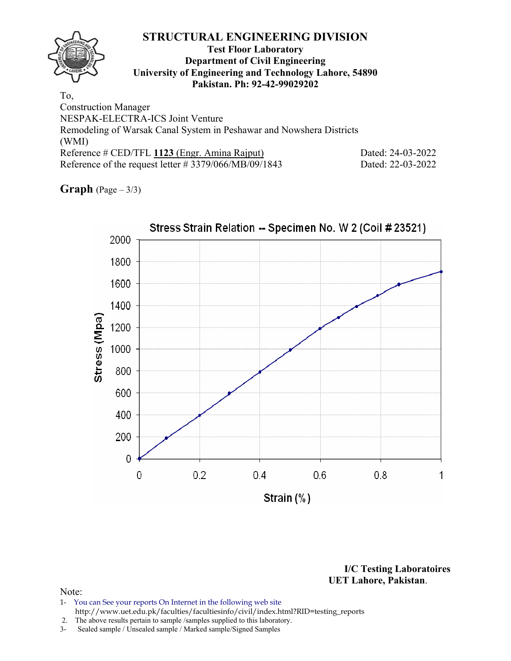## **Test Floor Laboratory Department of Civil Engineering University of Engineering and Technology Lahore, 54890 Pakistan. Ph: 92-42-99029202**

To, Construction Manager NESPAK-ELECTRA-ICS Joint Venture Remodeling of Warsak Canal System in Peshawar and Nowshera Districts (WMI) Reference # CED/TFL 1123 (Engr. Amina Rajput) Dated: 24-03-2022 Reference of the request letter # 3379/066/MB/09/1843 Dated: 22-03-2022

**Graph** (Page – 3/3)



**I/C Testing Laboratoires UET Lahore, Pakistan**.

- 1- You can See your reports On Internet in the following web site http://www.uet.edu.pk/faculties/facultiesinfo/civil/index.html?RID=testing\_reports
- 2. The above results pertain to sample /samples supplied to this laboratory.
- 3- Sealed sample / Unsealed sample / Marked sample/Signed Samples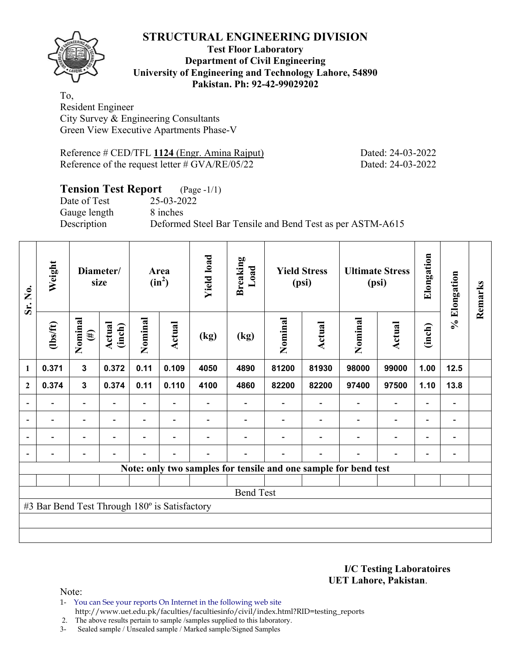

### **Test Floor Laboratory Department of Civil Engineering University of Engineering and Technology Lahore, 54890 Pakistan. Ph: 92-42-99029202**

To, Resident Engineer City Survey & Engineering Consultants Green View Executive Apartments Phase-V

Reference # CED/TFL **1124** (Engr. Amina Rajput) Dated: 24-03-2022 Reference of the request letter # GVA/RE/05/22 Dated: 24-03-2022

# **Tension Test Report** (Page -1/1)

Date of Test 25-03-2022 Gauge length 8 inches

Description Deformed Steel Bar Tensile and Bend Test as per ASTM-A615

| Sr. No.        | Weight                                        |                          | Diameter/<br>size        | Area<br>$(in^2)$         |                          | <b>Yield load</b><br><b>Breaking</b><br>Load<br><b>Yield Stress</b><br>(psi) |                  | <b>Ultimate Stress</b><br>(psi) |                          | Elongation                                                      | % Elongation             | Remarks                  |                              |  |
|----------------|-----------------------------------------------|--------------------------|--------------------------|--------------------------|--------------------------|------------------------------------------------------------------------------|------------------|---------------------------------|--------------------------|-----------------------------------------------------------------|--------------------------|--------------------------|------------------------------|--|
|                | $\frac{2}{10}$                                | Nominal<br>$(\#)$        | Actual<br>(inch)         | Nominal                  | <b>Actual</b>            | (kg)                                                                         | (kg)             | Nominal                         | Actual                   | Nominal                                                         | Actual                   | (inch)                   |                              |  |
| $\mathbf{1}$   | 0.371                                         | 3                        | 0.372                    | 0.11                     | 0.109                    | 4050                                                                         | 4890             | 81200                           | 81930                    | 98000                                                           | 99000                    | 1.00                     | 12.5                         |  |
| $\mathbf{2}$   | 0.374                                         | $\mathbf{3}$             | 0.374                    | 0.11                     | 0.110                    | 4100                                                                         | 4860             | 82200                           | 82200                    | 97400<br>97500                                                  |                          | 1.10                     | 13.8                         |  |
|                |                                               | -                        |                          |                          |                          |                                                                              | $\overline{a}$   |                                 |                          |                                                                 |                          | $\overline{\phantom{a}}$ |                              |  |
| $\blacksquare$ | $\overline{\phantom{0}}$                      | $\blacksquare$           | $\blacksquare$           | Ξ.                       | $\blacksquare$           |                                                                              |                  |                                 | $\overline{\phantom{a}}$ | $\overline{\phantom{a}}$                                        | $\overline{\phantom{a}}$ | $\overline{\phantom{a}}$ | $\overline{\phantom{a}}$     |  |
| $\overline{a}$ | $\overline{\phantom{0}}$                      | $\overline{\phantom{a}}$ | $\overline{\phantom{0}}$ | $\overline{\phantom{0}}$ | $\overline{\phantom{0}}$ |                                                                              |                  |                                 |                          | $\overline{\phantom{0}}$                                        | $\blacksquare$           | $\overline{\phantom{0}}$ | $\overline{\phantom{0}}$     |  |
|                | -                                             | $\overline{\phantom{0}}$ | $\blacksquare$           | $\blacksquare$           | $\blacksquare$           | -                                                                            |                  |                                 | $\overline{\phantom{0}}$ | $\overline{\phantom{0}}$                                        | $\overline{a}$           | -                        | $\qquad \qquad \blacksquare$ |  |
|                |                                               |                          |                          |                          |                          |                                                                              |                  |                                 |                          | Note: only two samples for tensile and one sample for bend test |                          |                          |                              |  |
|                |                                               |                          |                          |                          |                          |                                                                              |                  |                                 |                          |                                                                 |                          |                          |                              |  |
|                |                                               |                          |                          |                          |                          |                                                                              | <b>Bend Test</b> |                                 |                          |                                                                 |                          |                          |                              |  |
|                | #3 Bar Bend Test Through 180° is Satisfactory |                          |                          |                          |                          |                                                                              |                  |                                 |                          |                                                                 |                          |                          |                              |  |
|                |                                               |                          |                          |                          |                          |                                                                              |                  |                                 |                          |                                                                 |                          |                          |                              |  |
|                |                                               |                          |                          |                          |                          |                                                                              |                  |                                 |                          |                                                                 |                          |                          |                              |  |

**I/C Testing Laboratoires UET Lahore, Pakistan**.

- 1- You can See your reports On Internet in the following web site http://www.uet.edu.pk/faculties/facultiesinfo/civil/index.html?RID=testing\_reports
- 2. The above results pertain to sample /samples supplied to this laboratory.
- 3- Sealed sample / Unsealed sample / Marked sample/Signed Samples